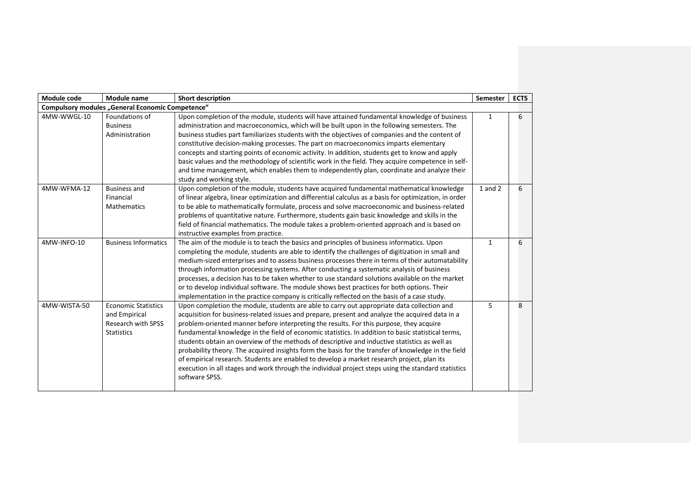| Module code  | Module name                                                                                   | <b>Short description</b>                                                                                                                                                                                                                                                                                                                                                                                                                                                                                                                                                                                                                                                                                                                                                                                                      |              | <b>ECTS</b> |
|--------------|-----------------------------------------------------------------------------------------------|-------------------------------------------------------------------------------------------------------------------------------------------------------------------------------------------------------------------------------------------------------------------------------------------------------------------------------------------------------------------------------------------------------------------------------------------------------------------------------------------------------------------------------------------------------------------------------------------------------------------------------------------------------------------------------------------------------------------------------------------------------------------------------------------------------------------------------|--------------|-------------|
|              | Compulsory modules "General Economic Competence"                                              |                                                                                                                                                                                                                                                                                                                                                                                                                                                                                                                                                                                                                                                                                                                                                                                                                               |              |             |
| 4MW-WWGL-10  | Foundations of<br><b>Business</b><br>Administration                                           | Upon completion of the module, students will have attained fundamental knowledge of business<br>administration and macroeconomics, which will be built upon in the following semesters. The<br>business studies part familiarizes students with the objectives of companies and the content of<br>constitutive decision-making processes. The part on macroeconomics imparts elementary<br>concepts and starting points of economic activity. In addition, students get to know and apply<br>basic values and the methodology of scientific work in the field. They acquire competence in self-<br>and time management, which enables them to independently plan, coordinate and analyze their<br>study and working style.                                                                                                    |              | 6           |
| 4MW-WFMA-12  | <b>Business and</b><br>Financial<br><b>Mathematics</b>                                        | Upon completion of the module, students have acquired fundamental mathematical knowledge<br>of linear algebra, linear optimization and differential calculus as a basis for optimization, in order<br>to be able to mathematically formulate, process and solve macroeconomic and business-related<br>problems of quantitative nature. Furthermore, students gain basic knowledge and skills in the<br>field of financial mathematics. The module takes a problem-oriented approach and is based on<br>instructive examples from practice.                                                                                                                                                                                                                                                                                    | 1 and 2      | 6           |
| 4MW-INFO-10  | <b>Business Informatics</b>                                                                   | The aim of the module is to teach the basics and principles of business informatics. Upon<br>completing the module, students are able to identify the challenges of digitization in small and<br>medium-sized enterprises and to assess business processes there in terms of their automatability<br>through information processing systems. After conducting a systematic analysis of business<br>processes, a decision has to be taken whether to use standard solutions available on the market<br>or to develop individual software. The module shows best practices for both options. Their<br>implementation in the practice company is critically reflected on the basis of a case study.                                                                                                                              | $\mathbf{1}$ | 6           |
| 4MW-WISTA-50 | <b>Economic Statistics</b><br>and Empirical<br><b>Research with SPSS</b><br><b>Statistics</b> | Upon completion the module, students are able to carry out appropriate data collection and<br>acquisition for business-related issues and prepare, present and analyze the acquired data in a<br>problem-oriented manner before interpreting the results. For this purpose, they acquire<br>fundamental knowledge in the field of economic statistics. In addition to basic statistical terms,<br>students obtain an overview of the methods of descriptive and inductive statistics as well as<br>probability theory. The acquired insights form the basis for the transfer of knowledge in the field<br>of empirical research. Students are enabled to develop a market research project, plan its<br>execution in all stages and work through the individual project steps using the standard statistics<br>software SPSS. | 5            | 8           |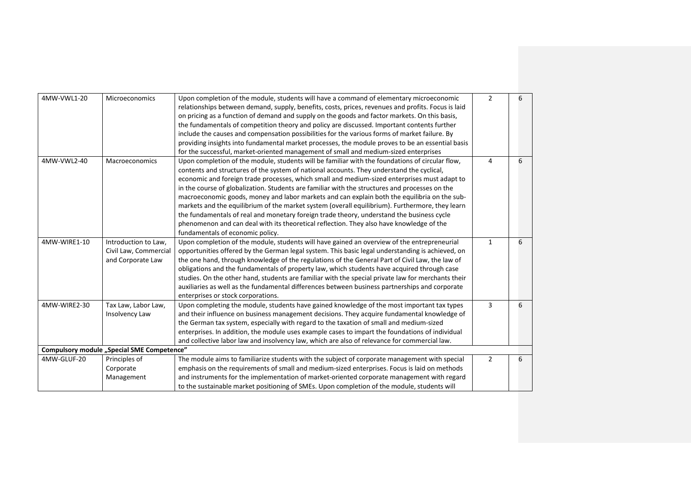| 4MW-VWL1-20  | Microeconomics                             | Upon completion of the module, students will have a command of elementary microeconomic            | $\overline{2}$ | 6 |
|--------------|--------------------------------------------|----------------------------------------------------------------------------------------------------|----------------|---|
|              |                                            | relationships between demand, supply, benefits, costs, prices, revenues and profits. Focus is laid |                |   |
|              |                                            | on pricing as a function of demand and supply on the goods and factor markets. On this basis,      |                |   |
|              |                                            | the fundamentals of competition theory and policy are discussed. Important contents further        |                |   |
|              |                                            | include the causes and compensation possibilities for the various forms of market failure. By      |                |   |
|              |                                            | providing insights into fundamental market processes, the module proves to be an essential basis   |                |   |
|              |                                            | for the successful, market-oriented management of small and medium-sized enterprises               |                |   |
| 4MW-VWL2-40  | <b>Macroeconomics</b>                      | Upon completion of the module, students will be familiar with the foundations of circular flow,    | 4              | 6 |
|              |                                            | contents and structures of the system of national accounts. They understand the cyclical,          |                |   |
|              |                                            | economic and foreign trade processes, which small and medium-sized enterprises must adapt to       |                |   |
|              |                                            | in the course of globalization. Students are familiar with the structures and processes on the     |                |   |
|              |                                            | macroeconomic goods, money and labor markets and can explain both the equilibria on the sub-       |                |   |
|              |                                            | markets and the equilibrium of the market system (overall equilibrium). Furthermore, they learn    |                |   |
|              |                                            | the fundamentals of real and monetary foreign trade theory, understand the business cycle          |                |   |
|              |                                            | phenomenon and can deal with its theoretical reflection. They also have knowledge of the           |                |   |
|              |                                            | fundamentals of economic policy.                                                                   |                |   |
| 4MW-WIRE1-10 | Introduction to Law,                       | Upon completion of the module, students will have gained an overview of the entrepreneurial        | $\mathbf{1}$   | 6 |
|              | Civil Law, Commercial                      | opportunities offered by the German legal system. This basic legal understanding is achieved, on   |                |   |
|              | and Corporate Law                          | the one hand, through knowledge of the regulations of the General Part of Civil Law, the law of    |                |   |
|              |                                            | obligations and the fundamentals of property law, which students have acquired through case        |                |   |
|              |                                            | studies. On the other hand, students are familiar with the special private law for merchants their |                |   |
|              |                                            | auxiliaries as well as the fundamental differences between business partnerships and corporate     |                |   |
|              |                                            | enterprises or stock corporations.                                                                 |                |   |
| 4MW-WIRE2-30 | Tax Law, Labor Law,                        | Upon completing the module, students have gained knowledge of the most important tax types         | 3              | 6 |
|              | Insolvency Law                             | and their influence on business management decisions. They acquire fundamental knowledge of        |                |   |
|              |                                            | the German tax system, especially with regard to the taxation of small and medium-sized            |                |   |
|              |                                            | enterprises. In addition, the module uses example cases to impart the foundations of individual    |                |   |
|              |                                            | and collective labor law and insolvency law, which are also of relevance for commercial law.       |                |   |
|              | Compulsory module "Special SME Competence" |                                                                                                    |                |   |
| 4MW-GLUF-20  | Principles of                              | The module aims to familiarize students with the subject of corporate management with special      | $\overline{2}$ | 6 |
|              | Corporate                                  | emphasis on the requirements of small and medium-sized enterprises. Focus is laid on methods       |                |   |
|              | Management                                 | and instruments for the implementation of market-oriented corporate management with regard         |                |   |
|              |                                            | to the sustainable market positioning of SMEs. Upon completion of the module, students will        |                |   |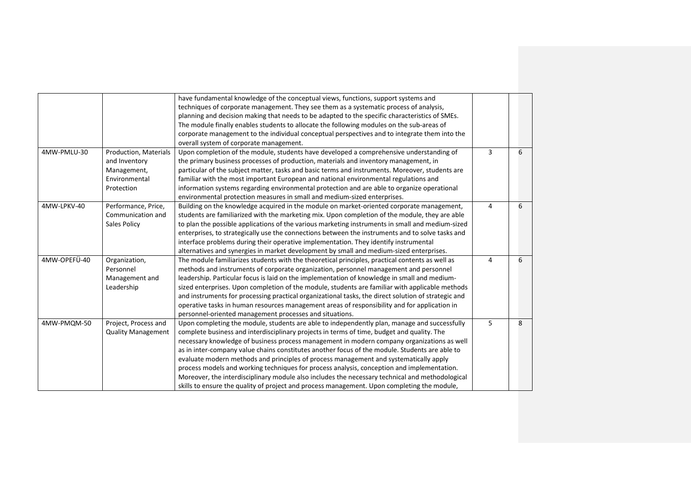|              |                           | have fundamental knowledge of the conceptual views, functions, support systems and                  |   |   |
|--------------|---------------------------|-----------------------------------------------------------------------------------------------------|---|---|
|              |                           | techniques of corporate management. They see them as a systematic process of analysis,              |   |   |
|              |                           | planning and decision making that needs to be adapted to the specific characteristics of SMEs.      |   |   |
|              |                           | The module finally enables students to allocate the following modules on the sub-areas of           |   |   |
|              |                           | corporate management to the individual conceptual perspectives and to integrate them into the       |   |   |
|              |                           | overall system of corporate management.                                                             |   |   |
| 4MW-PMLU-30  | Production, Materials     | Upon completion of the module, students have developed a comprehensive understanding of             | 3 | 6 |
|              | and Inventory             | the primary business processes of production, materials and inventory management, in                |   |   |
|              | Management,               | particular of the subject matter, tasks and basic terms and instruments. Moreover, students are     |   |   |
|              | Environmental             | familiar with the most important European and national environmental regulations and                |   |   |
|              | Protection                | information systems regarding environmental protection and are able to organize operational         |   |   |
|              |                           | environmental protection measures in small and medium-sized enterprises.                            |   |   |
| 4MW-LPKV-40  | Performance, Price,       | Building on the knowledge acquired in the module on market-oriented corporate management,           | 4 | 6 |
|              | Communication and         | students are familiarized with the marketing mix. Upon completion of the module, they are able      |   |   |
|              | Sales Policy              | to plan the possible applications of the various marketing instruments in small and medium-sized    |   |   |
|              |                           | enterprises, to strategically use the connections between the instruments and to solve tasks and    |   |   |
|              |                           | interface problems during their operative implementation. They identify instrumental                |   |   |
|              |                           | alternatives and synergies in market development by small and medium-sized enterprises.             |   |   |
| 4MW-OPEFÜ-40 | Organization,             | The module familiarizes students with the theoretical principles, practical contents as well as     | 4 | 6 |
|              | Personnel                 | methods and instruments of corporate organization, personnel management and personnel               |   |   |
|              | Management and            | leadership. Particular focus is laid on the implementation of knowledge in small and medium-        |   |   |
|              | Leadership                | sized enterprises. Upon completion of the module, students are familiar with applicable methods     |   |   |
|              |                           | and instruments for processing practical organizational tasks, the direct solution of strategic and |   |   |
|              |                           | operative tasks in human resources management areas of responsibility and for application in        |   |   |
|              |                           | personnel-oriented management processes and situations.                                             |   |   |
| 4MW-PMQM-50  | Project, Process and      | Upon completing the module, students are able to independently plan, manage and successfully        | 5 | 8 |
|              | <b>Quality Management</b> | complete business and interdisciplinary projects in terms of time, budget and quality. The          |   |   |
|              |                           | necessary knowledge of business process management in modern company organizations as well          |   |   |
|              |                           | as in inter-company value chains constitutes another focus of the module. Students are able to      |   |   |
|              |                           | evaluate modern methods and principles of process management and systematically apply               |   |   |
|              |                           | process models and working techniques for process analysis, conception and implementation.          |   |   |
|              |                           | Moreover, the interdisciplinary module also includes the necessary technical and methodological     |   |   |
|              |                           | skills to ensure the quality of project and process management. Upon completing the module,         |   |   |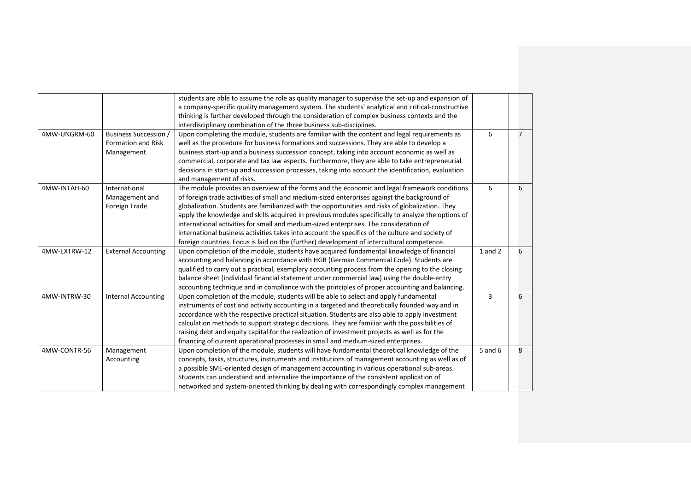|              |                              | students are able to assume the role as quality manager to supervise the set-up and expansion of   |             |                |
|--------------|------------------------------|----------------------------------------------------------------------------------------------------|-------------|----------------|
|              |                              | a company-specific quality management system. The students' analytical and critical-constructive   |             |                |
|              |                              | thinking is further developed through the consideration of complex business contexts and the       |             |                |
|              |                              | interdisciplinary combination of the three business sub-disciplines.                               |             |                |
| 4MW-UNGRM-60 | <b>Business Succession /</b> | Upon completing the module, students are familiar with the content and legal requirements as       | 6           | $\overline{7}$ |
|              | Formation and Risk           | well as the procedure for business formations and successions. They are able to develop a          |             |                |
|              | Management                   | business start-up and a business succession concept, taking into account economic as well as       |             |                |
|              |                              | commercial, corporate and tax law aspects. Furthermore, they are able to take entrepreneurial      |             |                |
|              |                              | decisions in start-up and succession processes, taking into account the identification, evaluation |             |                |
|              |                              | and management of risks.                                                                           |             |                |
| 4MW-INTAH-60 | International                | The module provides an overview of the forms and the economic and legal framework conditions       | 6           | 6              |
|              | Management and               | of foreign trade activities of small and medium-sized enterprises against the background of        |             |                |
|              | Foreign Trade                | globalization. Students are familiarized with the opportunities and risks of globalization. They   |             |                |
|              |                              | apply the knowledge and skills acquired in previous modules specifically to analyze the options of |             |                |
|              |                              | international activities for small and medium-sized enterprises. The consideration of              |             |                |
|              |                              | international business activities takes into account the specifics of the culture and society of   |             |                |
|              |                              | foreign countries. Focus is laid on the (further) development of intercultural competence.         |             |                |
| 4MW-EXTRW-12 | <b>External Accounting</b>   | Upon completion of the module, students have acquired fundamental knowledge of financial           | $1$ and $2$ | 6              |
|              |                              | accounting and balancing in accordance with HGB (German Commercial Code). Students are             |             |                |
|              |                              | qualified to carry out a practical, exemplary accounting process from the opening to the closing   |             |                |
|              |                              | balance sheet (individual financial statement under commercial law) using the double-entry         |             |                |
|              |                              | accounting technique and in compliance with the principles of proper accounting and balancing.     |             |                |
| 4MW-INTRW-30 | <b>Internal Accounting</b>   | Upon completion of the module, students will be able to select and apply fundamental               | 3           | 6              |
|              |                              | instruments of cost and activity accounting in a targeted and theoretically founded way and in     |             |                |
|              |                              | accordance with the respective practical situation. Students are also able to apply investment     |             |                |
|              |                              | calculation methods to support strategic decisions. They are familiar with the possibilities of    |             |                |
|              |                              | raising debt and equity capital for the realization of investment projects as well as for the      |             |                |
|              |                              | financing of current operational processes in small and medium-sized enterprises.                  |             |                |
| 4MW-CONTR-56 | Management                   | Upon completion of the module, students will have fundamental theoretical knowledge of the         | 5 and 6     | 8              |
|              | Accounting                   | concepts, tasks, structures, instruments and institutions of management accounting as well as of   |             |                |
|              |                              | a possible SME-oriented design of management accounting in various operational sub-areas.          |             |                |
|              |                              | Students can understand and internalize the importance of the consistent application of            |             |                |
|              |                              | networked and system-oriented thinking by dealing with correspondingly complex management          |             |                |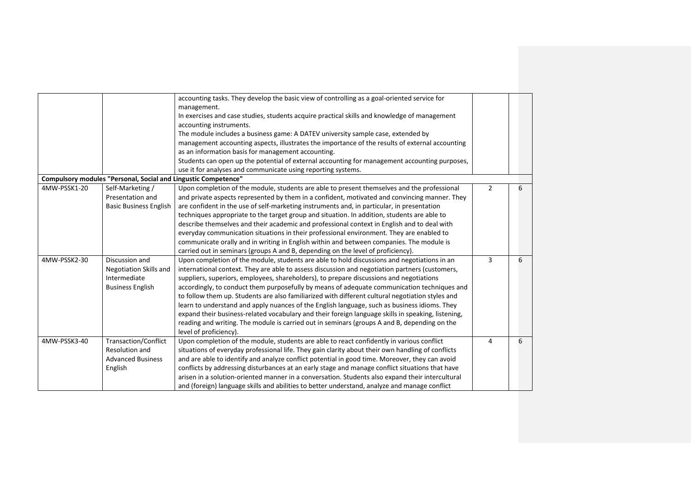|              |                                                                | accounting tasks. They develop the basic view of controlling as a goal-oriented service for        |   |   |
|--------------|----------------------------------------------------------------|----------------------------------------------------------------------------------------------------|---|---|
|              |                                                                | management.                                                                                        |   |   |
|              |                                                                | In exercises and case studies, students acquire practical skills and knowledge of management       |   |   |
|              |                                                                | accounting instruments.                                                                            |   |   |
|              |                                                                | The module includes a business game: A DATEV university sample case, extended by                   |   |   |
|              |                                                                | management accounting aspects, illustrates the importance of the results of external accounting    |   |   |
|              |                                                                | as an information basis for management accounting.                                                 |   |   |
|              |                                                                | Students can open up the potential of external accounting for management accounting purposes,      |   |   |
|              |                                                                | use it for analyses and communicate using reporting systems.                                       |   |   |
|              | Compulsory modules "Personal, Social and Lingustic Competence" |                                                                                                    |   |   |
| 4MW-PSSK1-20 | Self-Marketing /                                               | Upon completion of the module, students are able to present themselves and the professional        | 2 | 6 |
|              | Presentation and                                               | and private aspects represented by them in a confident, motivated and convincing manner. They      |   |   |
|              | <b>Basic Business English</b>                                  | are confident in the use of self-marketing instruments and, in particular, in presentation         |   |   |
|              |                                                                | techniques appropriate to the target group and situation. In addition, students are able to        |   |   |
|              |                                                                | describe themselves and their academic and professional context in English and to deal with        |   |   |
|              |                                                                | everyday communication situations in their professional environment. They are enabled to           |   |   |
|              |                                                                | communicate orally and in writing in English within and between companies. The module is           |   |   |
|              |                                                                | carried out in seminars (groups A and B, depending on the level of proficiency).                   |   |   |
| 4MW-PSSK2-30 | Discussion and                                                 | Upon completion of the module, students are able to hold discussions and negotiations in an        | 3 | 6 |
|              | Negotiation Skills and                                         | international context. They are able to assess discussion and negotiation partners (customers,     |   |   |
|              | Intermediate                                                   | suppliers, superiors, employees, shareholders), to prepare discussions and negotiations            |   |   |
|              | <b>Business English</b>                                        | accordingly, to conduct them purposefully by means of adequate communication techniques and        |   |   |
|              |                                                                | to follow them up. Students are also familiarized with different cultural negotiation styles and   |   |   |
|              |                                                                | learn to understand and apply nuances of the English language, such as business idioms. They       |   |   |
|              |                                                                | expand their business-related vocabulary and their foreign language skills in speaking, listening, |   |   |
|              |                                                                | reading and writing. The module is carried out in seminars (groups A and B, depending on the       |   |   |
|              |                                                                | level of proficiency).                                                                             |   |   |
| 4MW-PSSK3-40 | Transaction/Conflict                                           | Upon completion of the module, students are able to react confidently in various conflict          | 4 | 6 |
|              | Resolution and                                                 | situations of everyday professional life. They gain clarity about their own handling of conflicts  |   |   |
|              | <b>Advanced Business</b>                                       | and are able to identify and analyze conflict potential in good time. Moreover, they can avoid     |   |   |
|              | English                                                        | conflicts by addressing disturbances at an early stage and manage conflict situations that have    |   |   |
|              |                                                                | arisen in a solution-oriented manner in a conversation. Students also expand their intercultural   |   |   |
|              |                                                                | and (foreign) language skills and abilities to better understand, analyze and manage conflict      |   |   |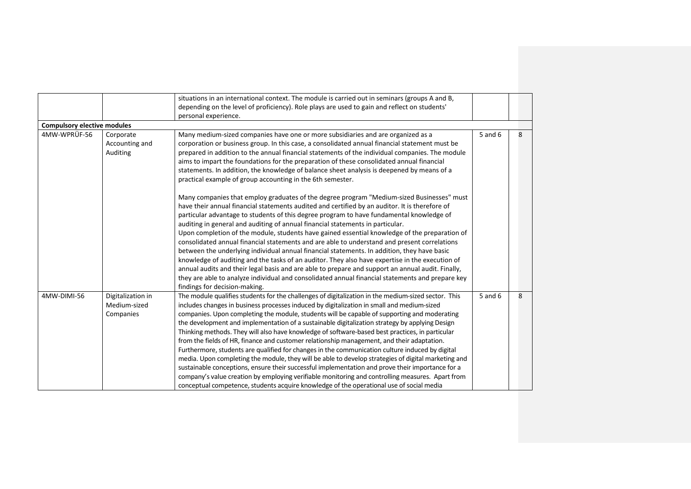|                                    |                                                | situations in an international context. The module is carried out in seminars (groups A and B,                                                                                                                                                                                                                                                                                                                                                                                                                                                                                                                                                                                                                                                                                                                                                                                                                                                                                                                                                                                                                     |             |   |
|------------------------------------|------------------------------------------------|--------------------------------------------------------------------------------------------------------------------------------------------------------------------------------------------------------------------------------------------------------------------------------------------------------------------------------------------------------------------------------------------------------------------------------------------------------------------------------------------------------------------------------------------------------------------------------------------------------------------------------------------------------------------------------------------------------------------------------------------------------------------------------------------------------------------------------------------------------------------------------------------------------------------------------------------------------------------------------------------------------------------------------------------------------------------------------------------------------------------|-------------|---|
|                                    |                                                | depending on the level of proficiency). Role plays are used to gain and reflect on students'                                                                                                                                                                                                                                                                                                                                                                                                                                                                                                                                                                                                                                                                                                                                                                                                                                                                                                                                                                                                                       |             |   |
|                                    |                                                | personal experience.                                                                                                                                                                                                                                                                                                                                                                                                                                                                                                                                                                                                                                                                                                                                                                                                                                                                                                                                                                                                                                                                                               |             |   |
| <b>Compulsory elective modules</b> |                                                |                                                                                                                                                                                                                                                                                                                                                                                                                                                                                                                                                                                                                                                                                                                                                                                                                                                                                                                                                                                                                                                                                                                    |             |   |
| 4MW-WPRÜF-56                       | Corporate<br>Accounting and<br>Auditing        | Many medium-sized companies have one or more subsidiaries and are organized as a<br>corporation or business group. In this case, a consolidated annual financial statement must be<br>prepared in addition to the annual financial statements of the individual companies. The module<br>aims to impart the foundations for the preparation of these consolidated annual financial<br>statements. In addition, the knowledge of balance sheet analysis is deepened by means of a<br>practical example of group accounting in the 6th semester.                                                                                                                                                                                                                                                                                                                                                                                                                                                                                                                                                                     |             | 8 |
|                                    |                                                | Many companies that employ graduates of the degree program "Medium-sized Businesses" must<br>have their annual financial statements audited and certified by an auditor. It is therefore of<br>particular advantage to students of this degree program to have fundamental knowledge of<br>auditing in general and auditing of annual financial statements in particular.<br>Upon completion of the module, students have gained essential knowledge of the preparation of<br>consolidated annual financial statements and are able to understand and present correlations<br>between the underlying individual annual financial statements. In addition, they have basic<br>knowledge of auditing and the tasks of an auditor. They also have expertise in the execution of<br>annual audits and their legal basis and are able to prepare and support an annual audit. Finally,<br>they are able to analyze individual and consolidated annual financial statements and prepare key<br>findings for decision-making.                                                                                             |             |   |
| 4MW-DIMI-56                        | Digitalization in<br>Medium-sized<br>Companies | The module qualifies students for the challenges of digitalization in the medium-sized sector. This<br>includes changes in business processes induced by digitalization in small and medium-sized<br>companies. Upon completing the module, students will be capable of supporting and moderating<br>the development and implementation of a sustainable digitalization strategy by applying Design<br>Thinking methods. They will also have knowledge of software-based best practices, in particular<br>from the fields of HR, finance and customer relationship management, and their adaptation.<br>Furthermore, students are qualified for changes in the communication culture induced by digital<br>media. Upon completing the module, they will be able to develop strategies of digital marketing and<br>sustainable conceptions, ensure their successful implementation and prove their importance for a<br>company's value creation by employing verifiable monitoring and controlling measures. Apart from<br>conceptual competence, students acquire knowledge of the operational use of social media | $5$ and $6$ | 8 |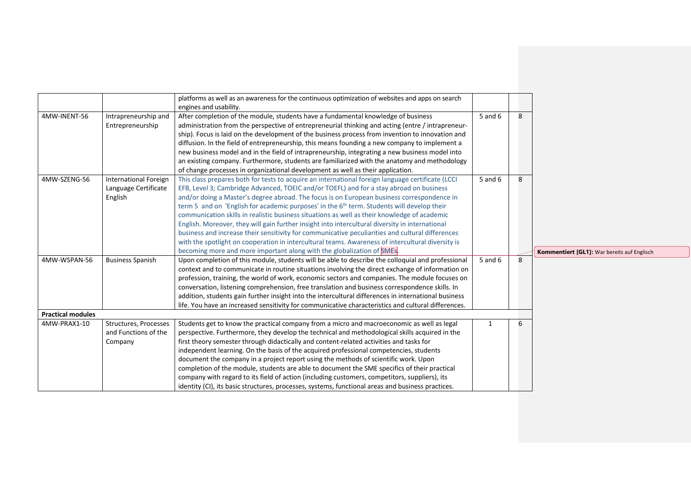|                          |                              | platforms as well as an awareness for the continuous optimization of websites and apps on search       |         |   |
|--------------------------|------------------------------|--------------------------------------------------------------------------------------------------------|---------|---|
|                          |                              | engines and usability.                                                                                 |         |   |
| 4MW-INENT-56             | Intrapreneurship and         | After completion of the module, students have a fundamental knowledge of business                      | 5 and 6 | 8 |
|                          | Entrepreneurship             | administration from the perspective of entrepreneurial thinking and acting (entre / intrapreneur-      |         |   |
|                          |                              | ship). Focus is laid on the development of the business process from invention to innovation and       |         |   |
|                          |                              | diffusion. In the field of entrepreneurship, this means founding a new company to implement a          |         |   |
|                          |                              | new business model and in the field of intrapreneurship, integrating a new business model into         |         |   |
|                          |                              | an existing company. Furthermore, students are familiarized with the anatomy and methodology           |         |   |
|                          |                              | of change processes in organizational development as well as their application.                        |         |   |
| 4MW-SZENG-56             | <b>International Foreign</b> | This class prepares both for tests to acquire an international foreign language certificate (LCCI      | 5 and 6 | 8 |
|                          | Language Certificate         | EFB, Level 3; Cambridge Advanced, TOEIC and/or TOEFL) and for a stay abroad on business                |         |   |
|                          | English                      | and/or doing a Master's degree abroad. The focus is on European business correspondence in             |         |   |
|                          |                              | term 5 and on 'English for academic purposes' in the 6 <sup>th</sup> term. Students will develop their |         |   |
|                          |                              | communication skills in realistic business situations as well as their knowledge of academic           |         |   |
|                          |                              | English. Moreover, they will gain further insight into intercultural diversity in international        |         |   |
|                          |                              | business and increase their sensitivity for communicative peculiarities and cultural differences       |         |   |
|                          |                              | with the spotlight on cooperation in intercultural teams. Awareness of intercultural diversity is      |         |   |
|                          |                              | becoming more and more important along with the globalization of SMEs.                                 |         |   |
| 4MW-WSPAN-56             | <b>Business Spanish</b>      | Upon completion of this module, students will be able to describe the colloquial and professional      | 5 and 6 | 8 |
|                          |                              | context and to communicate in routine situations involving the direct exchange of information on       |         |   |
|                          |                              | profession, training, the world of work, economic sectors and companies. The module focuses on         |         |   |
|                          |                              | conversation, listening comprehension, free translation and business correspondence skills. In         |         |   |
|                          |                              | addition, students gain further insight into the intercultural differences in international business   |         |   |
|                          |                              | life. You have an increased sensitivity for communicative characteristics and cultural differences.    |         |   |
| <b>Practical modules</b> |                              |                                                                                                        |         |   |
| 4MW-PRAX1-10             | Structures, Processes        | Students get to know the practical company from a micro and macroeconomic as well as legal             | 1       | 6 |
|                          | and Functions of the         | perspective. Furthermore, they develop the technical and methodological skills acquired in the         |         |   |
|                          | Company                      | first theory semester through didactically and content-related activities and tasks for                |         |   |
|                          |                              | independent learning. On the basis of the acquired professional competencies, students                 |         |   |
|                          |                              | document the company in a project report using the methods of scientific work. Upon                    |         |   |
|                          |                              | completion of the module, students are able to document the SME specifics of their practical           |         |   |
|                          |                              | company with regard to its field of action (including customers, competitors, suppliers), its          |         |   |
|                          |                              | identity (CI), its basic structures, processes, systems, functional areas and business practices.      |         |   |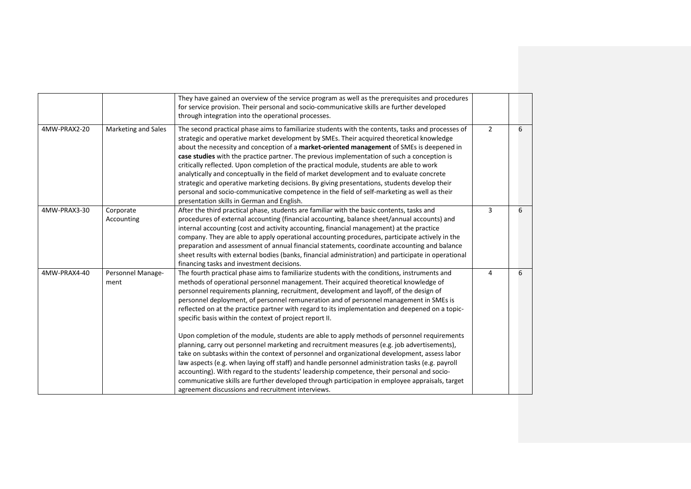|              |                           | They have gained an overview of the service program as well as the prerequisites and procedures<br>for service provision. Their personal and socio-communicative skills are further developed<br>through integration into the operational processes.                                                                                                                                                                                                                                                                                                                                                                                                                                                                                                                                                                                                                                                                                                                                                                                                                                                                                                                                            |               |   |
|--------------|---------------------------|-------------------------------------------------------------------------------------------------------------------------------------------------------------------------------------------------------------------------------------------------------------------------------------------------------------------------------------------------------------------------------------------------------------------------------------------------------------------------------------------------------------------------------------------------------------------------------------------------------------------------------------------------------------------------------------------------------------------------------------------------------------------------------------------------------------------------------------------------------------------------------------------------------------------------------------------------------------------------------------------------------------------------------------------------------------------------------------------------------------------------------------------------------------------------------------------------|---------------|---|
| 4MW-PRAX2-20 | Marketing and Sales       | The second practical phase aims to familiarize students with the contents, tasks and processes of<br>strategic and operative market development by SMEs. Their acquired theoretical knowledge<br>about the necessity and conception of a market-oriented management of SMEs is deepened in<br>case studies with the practice partner. The previous implementation of such a conception is<br>critically reflected. Upon completion of the practical module, students are able to work<br>analytically and conceptually in the field of market development and to evaluate concrete<br>strategic and operative marketing decisions. By giving presentations, students develop their<br>personal and socio-communicative competence in the field of self-marketing as well as their<br>presentation skills in German and English.                                                                                                                                                                                                                                                                                                                                                                 | $\mathcal{L}$ | 6 |
| 4MW-PRAX3-30 | Corporate<br>Accounting   | After the third practical phase, students are familiar with the basic contents, tasks and<br>procedures of external accounting (financial accounting, balance sheet/annual accounts) and<br>internal accounting (cost and activity accounting, financial management) at the practice<br>company. They are able to apply operational accounting procedures, participate actively in the<br>preparation and assessment of annual financial statements, coordinate accounting and balance<br>sheet results with external bodies (banks, financial administration) and participate in operational<br>financing tasks and investment decisions.                                                                                                                                                                                                                                                                                                                                                                                                                                                                                                                                                      | 3             | 6 |
| 4MW-PRAX4-40 | Personnel Manage-<br>ment | The fourth practical phase aims to familiarize students with the conditions, instruments and<br>methods of operational personnel management. Their acquired theoretical knowledge of<br>personnel requirements planning, recruitment, development and layoff, of the design of<br>personnel deployment, of personnel remuneration and of personnel management in SMEs is<br>reflected on at the practice partner with regard to its implementation and deepened on a topic-<br>specific basis within the context of project report II.<br>Upon completion of the module, students are able to apply methods of personnel requirements<br>planning, carry out personnel marketing and recruitment measures (e.g. job advertisements),<br>take on subtasks within the context of personnel and organizational development, assess labor<br>law aspects (e.g. when laying off staff) and handle personnel administration tasks (e.g. payroll<br>accounting). With regard to the students' leadership competence, their personal and socio-<br>communicative skills are further developed through participation in employee appraisals, target<br>agreement discussions and recruitment interviews. | 4             | 6 |